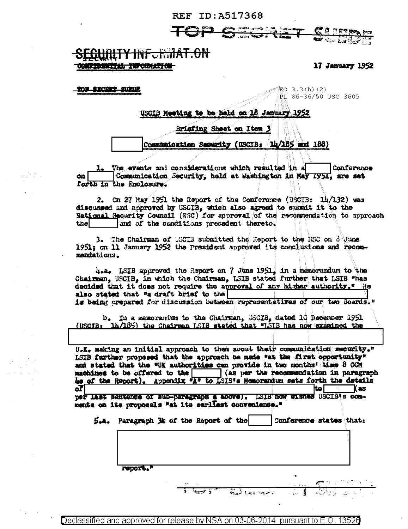

## <del>IY INF.RMAT.ON</del> 经的复数法书 主观 网络长生的

TOP SECRET SURDE

17 January 1952

缸O 3.3(h)(2) PL 86-36/50 USC 3605

## USCIB Meeting to be held on 18 January 1952

Briefing Sheet on Item 3

Communication Security (USCIB: 14/185 and 188)

The events and considerations which resulted in a Conference Communication Security, held at Washington in May 1951, are set on. forth in the Enclosure.

On 27 May 1951 the Report of the Conference (USCIB: 14/132) was  $2.$ discussed and approved by USCIB, which also agreed to submit it to the National Security Council (NSC) for approval of the recommendation to approach and of the conditions precedent thereto. thel

The Chairman of UGCIB submitted the Report to the NSC on 3 June 3. 1951; on 11 January 1952 the President approved its conclusions and recommendations.

4.a. ISIB approved the Report on 7 June 1951, in a memorandum to the Chairman, USCIB, in which the Chairman, LSIB stated further that LSIB "has decided that it does not require the approval of any higher authority." He also stated that "a draft brief to the is being prepared for discussion between representatives of our two Boards."

b. In a memorantum to the Chairman, USCIB, dated 10 December 1951 (USCIB:  $1h/185$ ) the Chairman LSIB stated that "LSIB has now examined the

U.K. making an initial approach to them about their communication security." LSIB further proposed that the approach be made "at the first opportunity" and stated that the "UK authorities can provide in two months' time 8 COM machines to be offered to the (as per the recommendation in paragraph he of the Report). Appendix "A" to ISIB's Hemorandum sets forth the details Kas I οT ltol

per last sentence of sub-paragraph a above). LS18 now wishes USCIB's comments on its proposals "at its earliest convenience."

L.a. Paragraph 3k of the Report of the

Conference states that:

Royald Johnson Montre

report."

Declassified and approved for release by NSA on 03-06-2014 pursuant to E.O. 13526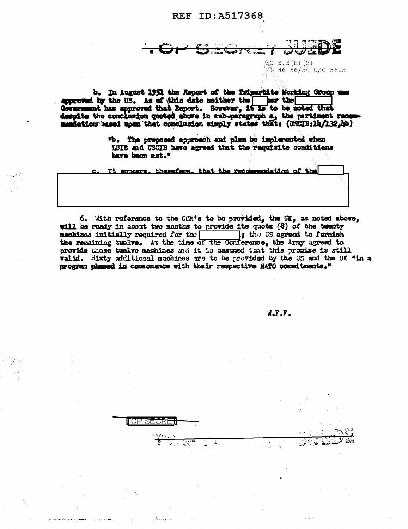LO 3.3(h)(2) PL 86-36/50 USC 3605

b. In August 1951 the Report of the Tripartite Working Group was approved by the US. As of this date neither the ner the Government has approved that Report. However, it is to be noted that despite the conclusion quoted above in sub-paragraph a, the partinent rece mentation based upon that conclusion simply states that: (USCIB:lh/132,hb)

> "b. The preposed approach and plan be implemented when LCIB and USCIB have agreed that the regulatte conditions have been met."

It appears, therefore, that the recommendation of the

6. With reference to the CCM's to be provided, the UK, as noted above, will be ready in about two months to provide its quote (8) of the twenty machines initially required for the the time is agreed to furnish the remaining twelve. At the time of the Conference, the Army agreed to provide these twelve machines and it is assumed that this promise is still valid. Sixty additional machines are to be provided by the US and the UK "in a program phased in consonance with their respective HATO commitments."

للهش

II OP SECRI

W.F.F.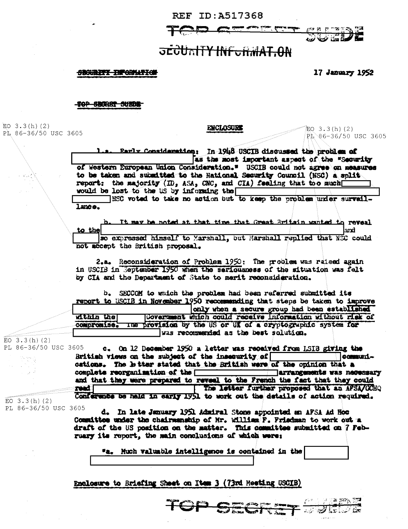

# **JECURITY INFURMAT.ON**

#### **SBOURETY INFORMATION**

17 January 1952

top Srorry Suide

EO  $3.3(h)$  (2) PL 86-36/50 USC 3605

ENCLOSURE

 $EQ$  3.3(h)(2) PL 86-36/50 USC 3605

**CONSTRUCT** 

Rarly Consideration: In 1948 USCIB discussed the problem of as the most important aspect of the "Security of Western European Union Consideration." USCIB could not agree on measures to be taken and submitted to the Hational Security Council (NSC) a split report: the majority  $(m_s$ , ASA, CNC, and CIA) feeling that too much would be lost to the US by informing the

HEC voted to take no action but to keep the problem under survaillance.

It may be noted at that time that Great Britain wanted to reveal to the lard so expressed himself to Marshall, but Marshall replied that NEC could

not accept the British proposal.

2.a. Reconsideration of Problem 1950: The problem was raised again in USCIB in September 1950 when the seriousness of the situation was felt by CIA and the Department of State to merit reconsideration.

b. SECCOM to which the problem had been referred submitted its report to USCIB in November 1950 recommending that steps be taken to improve only when a secure group had been established within the! Government which could receive information without risk of compromise. The provision by the US or UK of a cryptographic system for was recommended as the best solution.

 $EO$  3.3(h)(2) PL 86-36/50 USC 3605

c. On 12 December 1950 a letter was received from LSIB giving the British views on the subject of the insecurity of communications. The hitter stated that the British were of the opinion that a complete reorganization of the arrangements was necessary and that they were prepared to reveal to the French the fact that they could read | The letter further proposed that an AFSA/CCHQ Conference be held in early 1951 to work out the details of action required.

 $EO$  3.3(h)(2) PL 86-36/50 USC 3605

d. In late January 1951 Admiral Stone appointed an AFSA Ad Hoc Committee under the chairmanship of Mr. William F. Priedman to work out a draft of the US position on the matter. This committee submitted on 7 February its report, the main conclusions of which were:

"a. Huch valuable intelligence is contained in the

## Enclosure to Briefing Sheet on Item 3 (73rd Heating USCIB)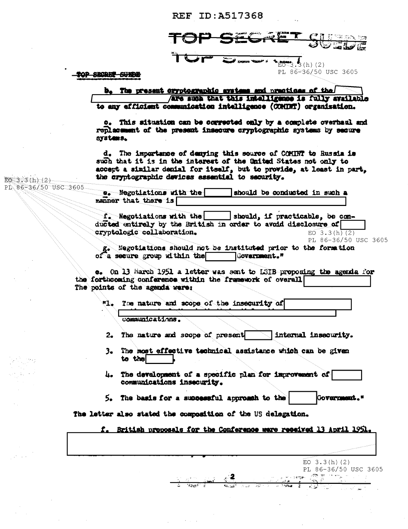$3.5(h)$  (2) PL 86-36/50 USC 3605

TOP SECRET SUEDE

#### b. The present cryptographic avatens and practices of the Are such that this intelligence is fully available to any efficient communication intelligence (COMINT) organisation.

e. This situation can be corrected only by a complete overhaul and replacement of the present insecure cryptographic systems by secure systems.

d. The importance of denying this source of COMINT to Russia is such that it is in the interest of the United States not only to accept a similar denial for itself, but to provide, at least in part, the cryptographic devices essential to security.

EO 3.3(h)(2) PL 86-36/50 USC 3605

e. Negotiations with the should be conducted in such a manner that there is

f. Negotiations with the should, if practicable, be conducted entirely by the British in order to avoid disclosure of cryptologic collaboration.  $EO$  3.3(h)(2) PL 86-36/50 USC 3605

g. Negotiations should not be instituted prior to the formation of a secure group within the Covernment."

e. On 13 Harch 1951 a letter was sent to LSIB proposing the agenda for the forthcoming conference within the framework of overall The points of the agenda were:

 $n_{\text{L}}$ The nature and scope of the insecurity of

communications.

- The nature and scope of present [1] internal insecurity.  $2.1$
- 3. The most effective technical assistance which can be given to the
- 4. The development of a specific plan for improvement of communications insecurity.
- 5. The basis for a successful approach to the Government."

The letter also stated the composition of the US delegation.

f. British proposals for the Conference were received 13 April 1951.

 $EO$  3.3(h)(2) PL 86-36/50 USC 3605 人名法巴纳 遭遇的女人